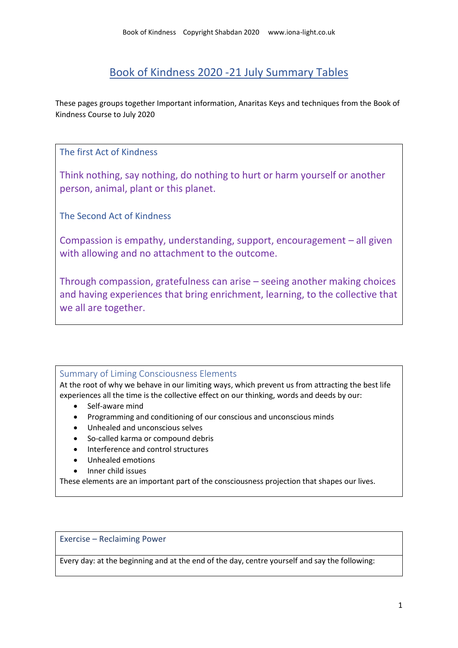# Book of Kindness 2020 -21 July Summary Tables

These pages groups together Important information, Anaritas Keys and techniques from the Book of Kindness Course to July 2020

### The first Act of Kindness

Think nothing, say nothing, do nothing to hurt or harm yourself or another person, animal, plant or this planet.

The Second Act of Kindness

Compassion is empathy, understanding, support, encouragement – all given with allowing and no attachment to the outcome.

Through compassion, gratefulness can arise – seeing another making choices and having experiences that bring enrichment, learning, to the collective that we all are together.

## Summary of Liming Consciousness Elements

At the root of why we behave in our limiting ways, which prevent us from attracting the best life experiences all the time is the collective effect on our thinking, words and deeds by our:

- Self-aware mind
- Programming and conditioning of our conscious and unconscious minds
- Unhealed and unconscious selves
- So-called karma or compound debris
- Interference and control structures
- Unhealed emotions
- Inner child issues

These elements are an important part of the consciousness projection that shapes our lives.

#### Exercise – Reclaiming Power

Every day: at the beginning and at the end of the day, centre yourself and say the following: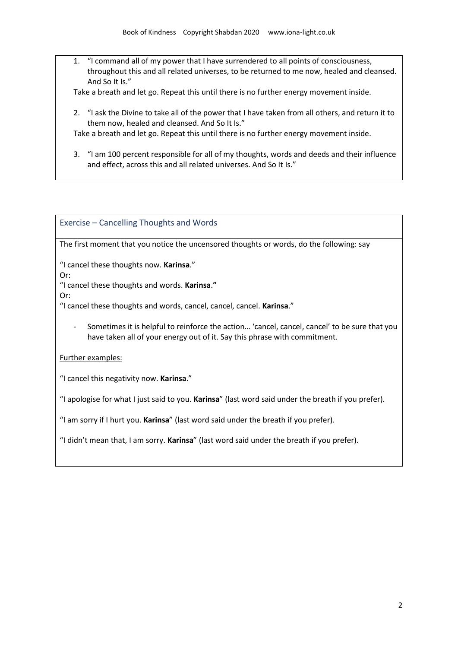1. "I command all of my power that I have surrendered to all points of consciousness, throughout this and all related universes, to be returned to me now, healed and cleansed. And So It Is."

Take a breath and let go. Repeat this until there is no further energy movement inside.

2. "I ask the Divine to take all of the power that I have taken from all others, and return it to them now, healed and cleansed. And So It Is."

Take a breath and let go. Repeat this until there is no further energy movement inside.

3. "I am 100 percent responsible for all of my thoughts, words and deeds and their influence and effect, across this and all related universes. And So It Is."

Exercise – Cancelling Thoughts and Words

The first moment that you notice the uncensored thoughts or words, do the following: say

"I cancel these thoughts now. **Karinsa**."

Or:

"I cancel these thoughts and words. **Karinsa**.**"**

Or:

"I cancel these thoughts and words, cancel, cancel, cancel. **Karinsa**."

Sometimes it is helpful to reinforce the action... 'cancel, cancel, cancel' to be sure that you have taken all of your energy out of it. Say this phrase with commitment.

#### Further examples:

"I cancel this negativity now. **Karinsa**."

"I apologise for what I just said to you. **Karinsa**" (last word said under the breath if you prefer).

"I am sorry if I hurt you. **Karinsa**" (last word said under the breath if you prefer).

"I didn't mean that, I am sorry. **Karinsa**" (last word said under the breath if you prefer).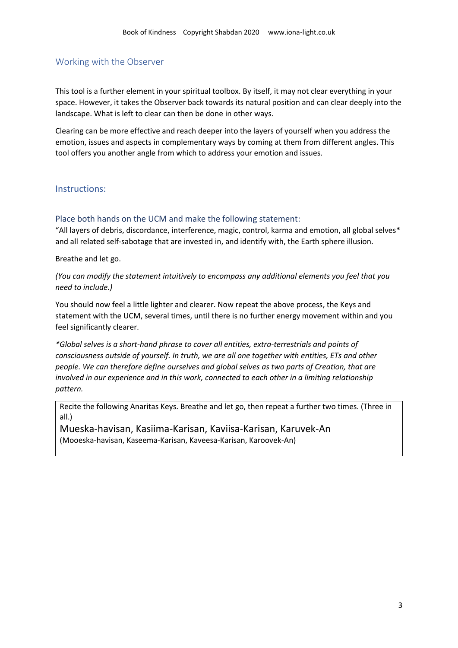#### Working with the Observer

This tool is a further element in your spiritual toolbox. By itself, it may not clear everything in your space. However, it takes the Observer back towards its natural position and can clear deeply into the landscape. What is left to clear can then be done in other ways.

Clearing can be more effective and reach deeper into the layers of yourself when you address the emotion, issues and aspects in complementary ways by coming at them from different angles. This tool offers you another angle from which to address your emotion and issues.

#### Instructions:

#### Place both hands on the UCM and make the following statement:

"All layers of debris, discordance, interference, magic, control, karma and emotion, all global selves\* and all related self-sabotage that are invested in, and identify with, the Earth sphere illusion.

Breathe and let go.

*(You can modify the statement intuitively to encompass any additional elements you feel that you need to include.)* 

You should now feel a little lighter and clearer. Now repeat the above process, the Keys and statement with the UCM, several times, until there is no further energy movement within and you feel significantly clearer.

*\*Global selves is a short-hand phrase to cover all entities, extra-terrestrials and points of consciousness outside of yourself. In truth, we are all one together with entities, ETs and other people. We can therefore define ourselves and global selves as two parts of Creation, that are involved in our experience and in this work, connected to each other in a limiting relationship pattern.*

Recite the following Anaritas Keys. Breathe and let go, then repeat a further two times. (Three in all.)

Mueska-havisan, Kasiima-Karisan, Kaviisa-Karisan, Karuvek-An (Mooeska-havisan, Kaseema-Karisan, Kaveesa-Karisan, Karoovek-An)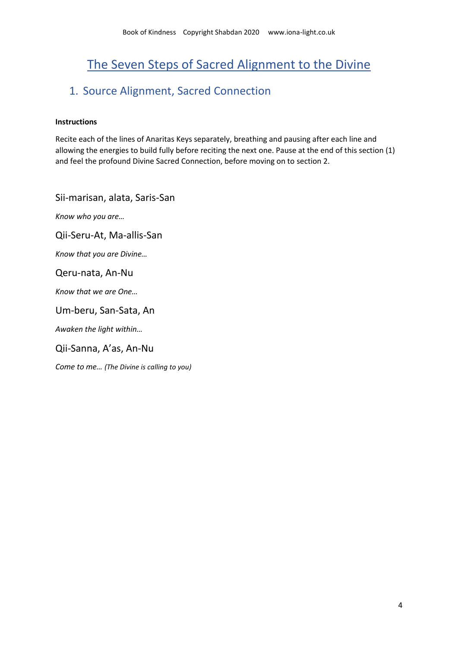# The Seven Steps of Sacred Alignment to the Divine

# 1. Source Alignment, Sacred Connection

#### **Instructions**

Recite each of the lines of Anaritas Keys separately, breathing and pausing after each line and allowing the energies to build fully before reciting the next one. Pause at the end of this section (1) and feel the profound Divine Sacred Connection, before moving on to section 2.

Sii-marisan, alata, Saris-San

*Know who you are…*

Qii-Seru-At, Ma-allis-San

*Know that you are Divine…*

#### Qeru-nata, An-Nu

*Know that we are One…*

Um-beru, San-Sata, An

*Awaken the light within…*

Qii-Sanna, A'as, An-Nu

*Come to me… (The Divine is calling to you)*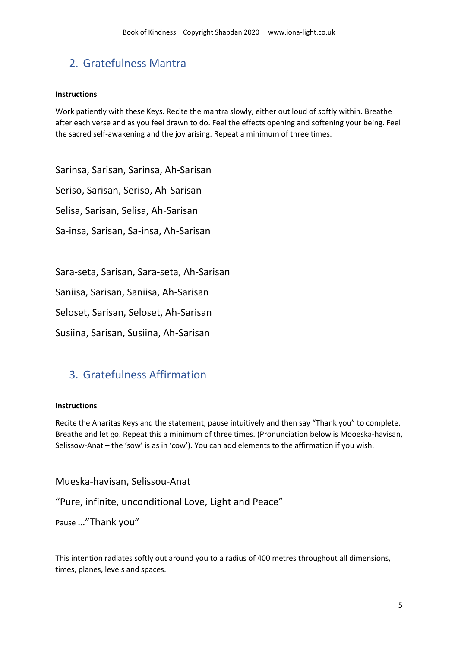# 2. Gratefulness Mantra

#### **Instructions**

Work patiently with these Keys. Recite the mantra slowly, either out loud of softly within. Breathe after each verse and as you feel drawn to do. Feel the effects opening and softening your being. Feel the sacred self-awakening and the joy arising. Repeat a minimum of three times.

Sarinsa, Sarisan, Sarinsa, Ah-Sarisan

Seriso, Sarisan, Seriso, Ah-Sarisan

Selisa, Sarisan, Selisa, Ah-Sarisan

Sa-insa, Sarisan, Sa-insa, Ah-Sarisan

Sara-seta, Sarisan, Sara-seta, Ah-Sarisan

Saniisa, Sarisan, Saniisa, Ah-Sarisan

Seloset, Sarisan, Seloset, Ah-Sarisan

Susiina, Sarisan, Susiina, Ah-Sarisan

# 3. Gratefulness Affirmation

#### **Instructions**

Recite the Anaritas Keys and the statement, pause intuitively and then say "Thank you" to complete. Breathe and let go. Repeat this a minimum of three times. (Pronunciation below is Mooeska-havisan, Selissow-Anat – the 'sow' is as in 'cow'). You can add elements to the affirmation if you wish.

Mueska-havisan, Selissou-Anat

"Pure, infinite, unconditional Love, Light and Peace"

Pause …"Thank you"

This intention radiates softly out around you to a radius of 400 metres throughout all dimensions, times, planes, levels and spaces.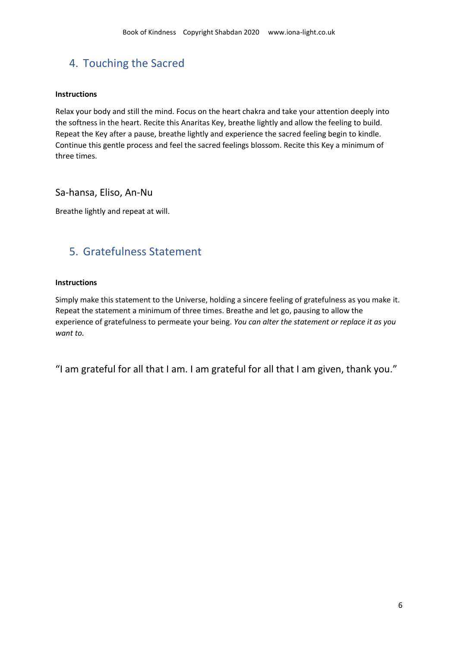# 4. Touching the Sacred

#### **Instructions**

Relax your body and still the mind. Focus on the heart chakra and take your attention deeply into the softness in the heart. Recite this Anaritas Key, breathe lightly and allow the feeling to build. Repeat the Key after a pause, breathe lightly and experience the sacred feeling begin to kindle. Continue this gentle process and feel the sacred feelings blossom. Recite this Key a minimum of three times.

Sa-hansa, Eliso, An-Nu

Breathe lightly and repeat at will.

# 5. Gratefulness Statement

#### **Instructions**

Simply make this statement to the Universe, holding a sincere feeling of gratefulness as you make it. Repeat the statement a minimum of three times. Breathe and let go, pausing to allow the experience of gratefulness to permeate your being. *You can alter the statement or replace it as you want to.*

"I am grateful for all that I am. I am grateful for all that I am given, thank you."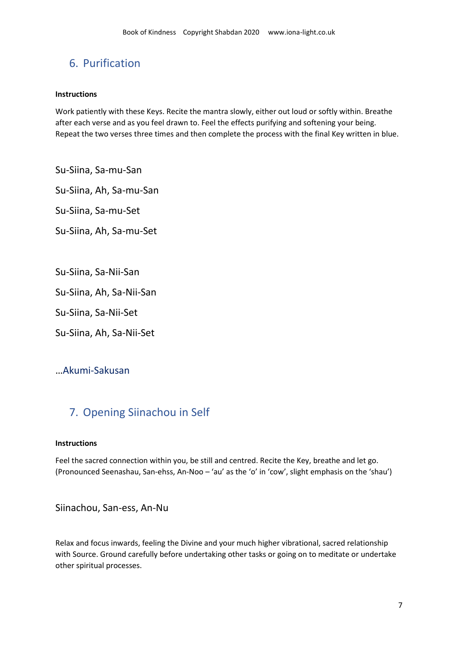# 6. Purification

#### **Instructions**

Work patiently with these Keys. Recite the mantra slowly, either out loud or softly within. Breathe after each verse and as you feel drawn to. Feel the effects purifying and softening your being. Repeat the two verses three times and then complete the process with the final Key written in blue.

Su-Siina, Sa-mu-San

Su-Siina, Ah, Sa-mu-San

Su-Siina, Sa-mu-Set

Su-Siina, Ah, Sa-mu-Set

Su-Siina, Sa-Nii-San

Su-Siina, Ah, Sa-Nii-San

Su-Siina, Sa-Nii-Set

Su-Siina, Ah, Sa-Nii-Set

# …Akumi-Sakusan

# 7. Opening Siinachou in Self

#### **Instructions**

Feel the sacred connection within you, be still and centred. Recite the Key, breathe and let go. (Pronounced Seenashau, San-ehss, An-Noo – 'au' as the 'o' in 'cow', slight emphasis on the 'shau')

Siinachou, San-ess, An-Nu

Relax and focus inwards, feeling the Divine and your much higher vibrational, sacred relationship with Source. Ground carefully before undertaking other tasks or going on to meditate or undertake other spiritual processes.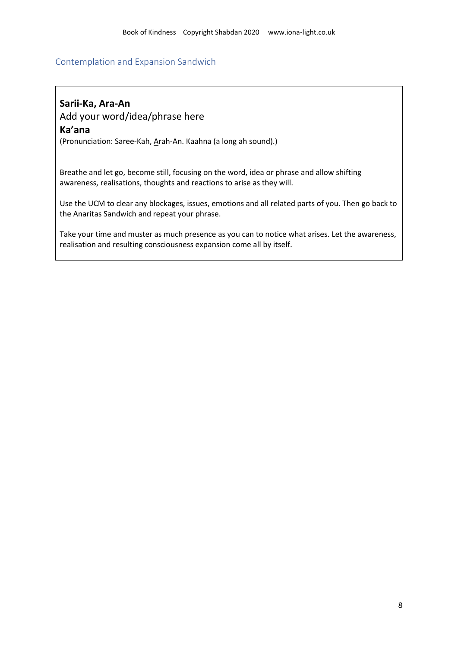#### Contemplation and Expansion Sandwich

# **Sarii-Ka, Ara-An**

Add your word/idea/phrase here

### **Ka'ana**

(Pronunciation: Saree-Kah, Arah-An. Kaahna (a long ah sound).)

Breathe and let go, become still, focusing on the word, idea or phrase and allow shifting awareness, realisations, thoughts and reactions to arise as they will.

Use the UCM to clear any blockages, issues, emotions and all related parts of you. Then go back to the Anaritas Sandwich and repeat your phrase.

Take your time and muster as much presence as you can to notice what arises. Let the awareness, realisation and resulting consciousness expansion come all by itself.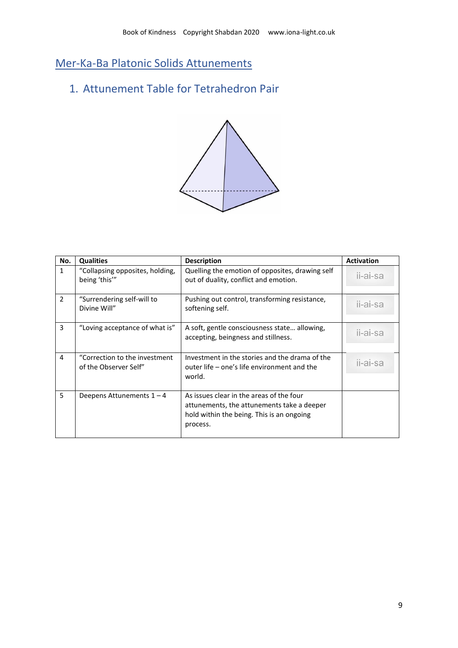Mer-Ka-Ba Platonic Solids Attunements

# 1. Attunement Table for Tetrahedron Pair



| No.           | <b>Qualities</b>                                        | <b>Description</b>                                                                                                                              | <b>Activation</b> |
|---------------|---------------------------------------------------------|-------------------------------------------------------------------------------------------------------------------------------------------------|-------------------|
| $\mathbf{1}$  | "Collapsing opposites, holding,<br>being 'this'"        | Quelling the emotion of opposites, drawing self<br>out of duality, conflict and emotion.                                                        | ii-ai-sa          |
| $\mathcal{P}$ | "Surrendering self-will to<br>Divine Will"              | Pushing out control, transforming resistance,<br>softening self.                                                                                | ii-ai-sa          |
| 3             | "Loving acceptance of what is"                          | A soft, gentle consciousness state allowing,<br>accepting, beingness and stillness.                                                             | ii-ai-sa          |
| 4             | "Correction to the investment"<br>of the Observer Self" | Investment in the stories and the drama of the<br>outer life – one's life environment and the<br>world.                                         | ii-ai-sa          |
| 5             | Deepens Attunements $1 - 4$                             | As issues clear in the areas of the four<br>attunements, the attunements take a deeper<br>hold within the being. This is an ongoing<br>process. |                   |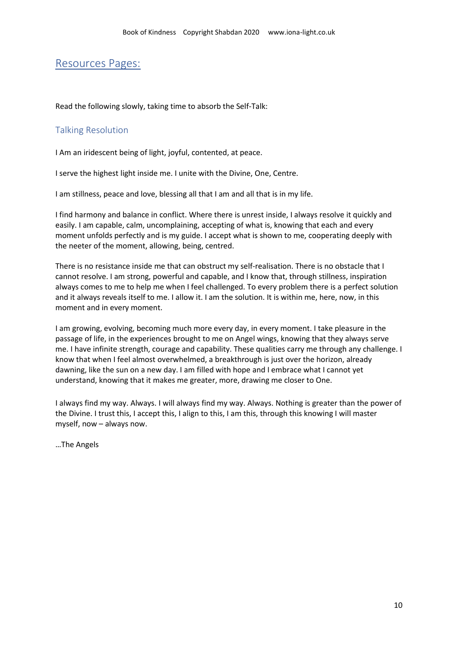# Resources Pages:

Read the following slowly, taking time to absorb the Self-Talk:

### Talking Resolution

I Am an iridescent being of light, joyful, contented, at peace.

I serve the highest light inside me. I unite with the Divine, One, Centre.

I am stillness, peace and love, blessing all that I am and all that is in my life.

I find harmony and balance in conflict. Where there is unrest inside, I always resolve it quickly and easily. I am capable, calm, uncomplaining, accepting of what is, knowing that each and every moment unfolds perfectly and is my guide. I accept what is shown to me, cooperating deeply with the neeter of the moment, allowing, being, centred.

There is no resistance inside me that can obstruct my self-realisation. There is no obstacle that I cannot resolve. I am strong, powerful and capable, and I know that, through stillness, inspiration always comes to me to help me when I feel challenged. To every problem there is a perfect solution and it always reveals itself to me. I allow it. I am the solution. It is within me, here, now, in this moment and in every moment.

I am growing, evolving, becoming much more every day, in every moment. I take pleasure in the passage of life, in the experiences brought to me on Angel wings, knowing that they always serve me. I have infinite strength, courage and capability. These qualities carry me through any challenge. I know that when I feel almost overwhelmed, a breakthrough is just over the horizon, already dawning, like the sun on a new day. I am filled with hope and I embrace what I cannot yet understand, knowing that it makes me greater, more, drawing me closer to One.

I always find my way. Always. I will always find my way. Always. Nothing is greater than the power of the Divine. I trust this, I accept this, I align to this, I am this, through this knowing I will master myself, now – always now.

…The Angels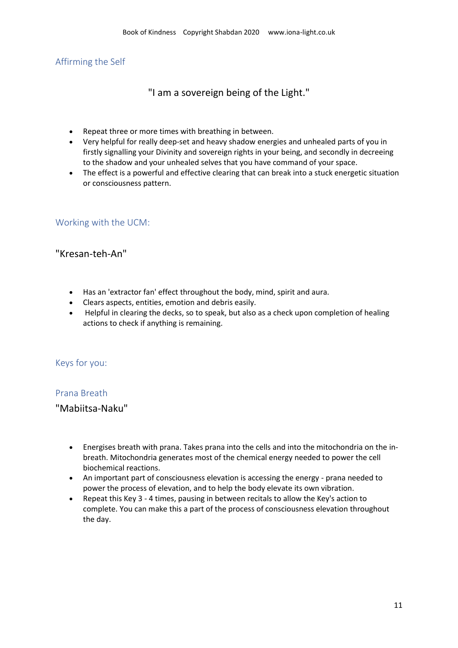# Affirming the Self

"I am a sovereign being of the Light."

- Repeat three or more times with breathing in between.
- Very helpful for really deep-set and heavy shadow energies and unhealed parts of you in firstly signalling your Divinity and sovereign rights in your being, and secondly in decreeing to the shadow and your unhealed selves that you have command of your space.
- The effect is a powerful and effective clearing that can break into a stuck energetic situation or consciousness pattern.

## Working with the UCM:

## "Kresan-teh-An"

- Has an 'extractor fan' effect throughout the body, mind, spirit and aura.
- Clears aspects, entities, emotion and debris easily.
- Helpful in clearing the decks, so to speak, but also as a check upon completion of healing actions to check if anything is remaining.

#### Keys for you:

### Prana Breath

## "Mabiitsa-Naku"

- Energises breath with prana. Takes prana into the cells and into the mitochondria on the inbreath. Mitochondria generates most of the chemical energy needed to power the cell biochemical reactions.
- An important part of consciousness elevation is accessing the energy prana needed to power the process of elevation, and to help the body elevate its own vibration.
- Repeat this Key 3 4 times, pausing in between recitals to allow the Key's action to complete. You can make this a part of the process of consciousness elevation throughout the day.